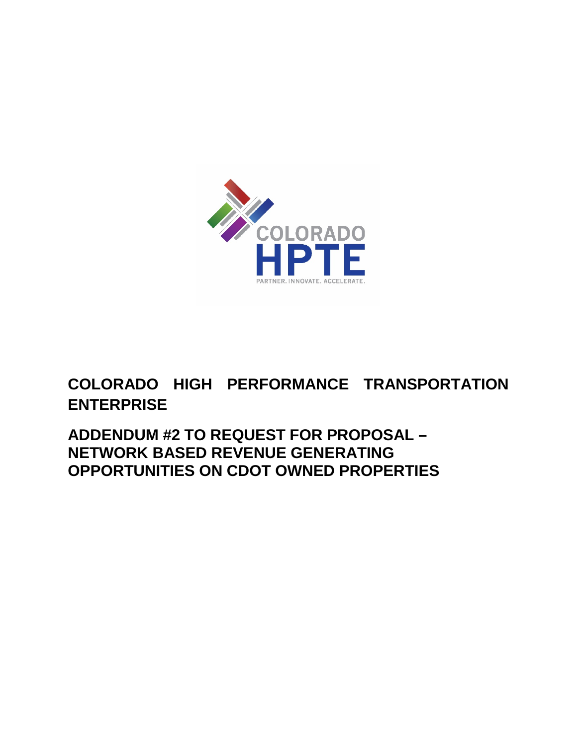

## **COLORADO HIGH PERFORMANCE TRANSPORTATION ENTERPRISE**

## **ADDENDUM #2 TO REQUEST FOR PROPOSAL – NETWORK BASED REVENUE GENERATING OPPORTUNITIES ON CDOT OWNED PROPERTIES**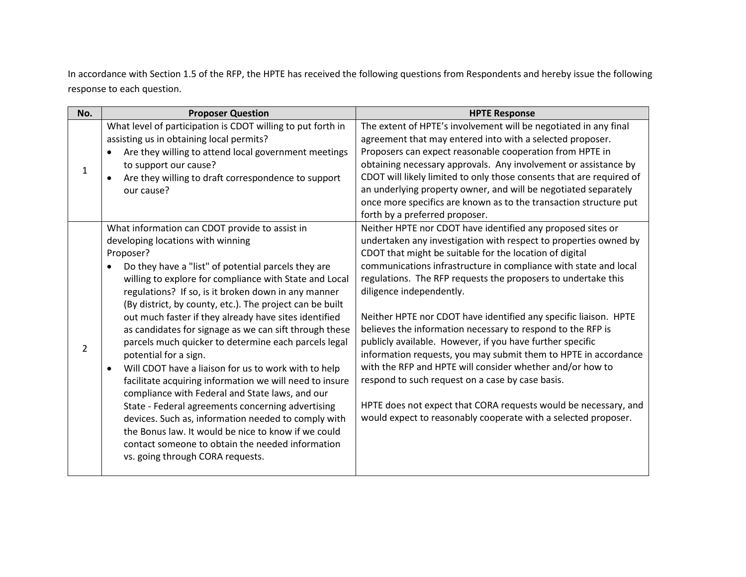In accordance with Section 1.5 of the RFP, the HPTE has received the following questions from Respondents and hereby issue the following response to each question.

| No. | <b>Proposer Question</b>                                                                                                                                                                                                                                                                                                                                                                                                                                                                                                                                                                                                                                                                                                                                                                                                                                                                                                                                                  | <b>HPTE Response</b>                                                                                                                                                                                                                                                                                                                                                                                                                                                                                                                                                                                                                                                                                                                                                                                                                                                                 |
|-----|---------------------------------------------------------------------------------------------------------------------------------------------------------------------------------------------------------------------------------------------------------------------------------------------------------------------------------------------------------------------------------------------------------------------------------------------------------------------------------------------------------------------------------------------------------------------------------------------------------------------------------------------------------------------------------------------------------------------------------------------------------------------------------------------------------------------------------------------------------------------------------------------------------------------------------------------------------------------------|--------------------------------------------------------------------------------------------------------------------------------------------------------------------------------------------------------------------------------------------------------------------------------------------------------------------------------------------------------------------------------------------------------------------------------------------------------------------------------------------------------------------------------------------------------------------------------------------------------------------------------------------------------------------------------------------------------------------------------------------------------------------------------------------------------------------------------------------------------------------------------------|
| 1   | What level of participation is CDOT willing to put forth in<br>assisting us in obtaining local permits?<br>Are they willing to attend local government meetings<br>to support our cause?<br>Are they willing to draft correspondence to support<br>our cause?                                                                                                                                                                                                                                                                                                                                                                                                                                                                                                                                                                                                                                                                                                             | The extent of HPTE's involvement will be negotiated in any final<br>agreement that may entered into with a selected proposer.<br>Proposers can expect reasonable cooperation from HPTE in<br>obtaining necessary approvals. Any involvement or assistance by<br>CDOT will likely limited to only those consents that are required of<br>an underlying property owner, and will be negotiated separately<br>once more specifics are known as to the transaction structure put<br>forth by a preferred proposer.                                                                                                                                                                                                                                                                                                                                                                       |
| 2   | What information can CDOT provide to assist in<br>developing locations with winning<br>Proposer?<br>Do they have a "list" of potential parcels they are<br>willing to explore for compliance with State and Local<br>regulations? If so, is it broken down in any manner<br>(By district, by county, etc.). The project can be built<br>out much faster if they already have sites identified<br>as candidates for signage as we can sift through these<br>parcels much quicker to determine each parcels legal<br>potential for a sign.<br>Will CDOT have a liaison for us to work with to help<br>facilitate acquiring information we will need to insure<br>compliance with Federal and State laws, and our<br>State - Federal agreements concerning advertising<br>devices. Such as, information needed to comply with<br>the Bonus law. It would be nice to know if we could<br>contact someone to obtain the needed information<br>vs. going through CORA requests. | Neither HPTE nor CDOT have identified any proposed sites or<br>undertaken any investigation with respect to properties owned by<br>CDOT that might be suitable for the location of digital<br>communications infrastructure in compliance with state and local<br>regulations. The RFP requests the proposers to undertake this<br>diligence independently.<br>Neither HPTE nor CDOT have identified any specific liaison. HPTE<br>believes the information necessary to respond to the RFP is<br>publicly available. However, if you have further specific<br>information requests, you may submit them to HPTE in accordance<br>with the RFP and HPTE will consider whether and/or how to<br>respond to such request on a case by case basis.<br>HPTE does not expect that CORA requests would be necessary, and<br>would expect to reasonably cooperate with a selected proposer. |